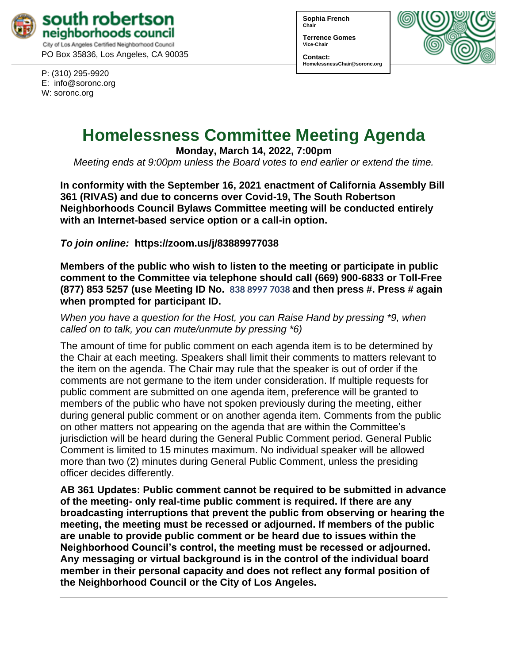

P: (310) 295-9920 E: [info@soronc.org](mailto:info@soronc.org) W: soronc.org

**Sophia French Chair**

**Terrence Gomes Vice-Chair**

**Contact: HomelessnessChair@soronc.org**



# **Homelessness Committee Meeting Agenda**

**Monday, March 14, 2022, 7:00pm**

*Meeting ends at 9:00pm unless the Board votes to end earlier or extend the time.*

**In conformity with the September 16, 2021 enactment of California Assembly Bill 361 (RIVAS) and due to concerns over Covid-19, The South Robertson Neighborhoods Council Bylaws Committee meeting will be conducted entirely with an Internet-based service option or a call-in option.**

*To join online:* **[https://zoom.us/j/](https://zoom.us/j/83889977038)83889977038** 

**Members of the public who wish to listen to the meeting or participate in public comment to the Committee via telephone should call (669) 900-6833 or Toll-Free (877) 853 5257 (use Meeting ID No. 838 8997 7038 and then press #. Press # again when prompted for participant ID.** 

*When you have a question for the Host, you can Raise Hand by pressing \*9, when called on to talk, you can mute/unmute by pressing \*6)* 

The amount of time for public comment on each agenda item is to be determined by the Chair at each meeting. Speakers shall limit their comments to matters relevant to the item on the agenda. The Chair may rule that the speaker is out of order if the comments are not germane to the item under consideration. If multiple requests for public comment are submitted on one agenda item, preference will be granted to members of the public who have not spoken previously during the meeting, either during general public comment or on another agenda item. Comments from the public on other matters not appearing on the agenda that are within the Committee's jurisdiction will be heard during the General Public Comment period. General Public Comment is limited to 15 minutes maximum. No individual speaker will be allowed more than two (2) minutes during General Public Comment, unless the presiding officer decides differently.

**AB 361 Updates: Public comment cannot be required to be submitted in advance of the meeting- only real-time public comment is required. If there are any broadcasting interruptions that prevent the public from observing or hearing the meeting, the meeting must be recessed or adjourned. If members of the public are unable to provide public comment or be heard due to issues within the Neighborhood Council's control, the meeting must be recessed or adjourned. Any messaging or virtual background is in the control of the individual board member in their personal capacity and does not reflect any formal position of the Neighborhood Council or the City of Los Angeles.**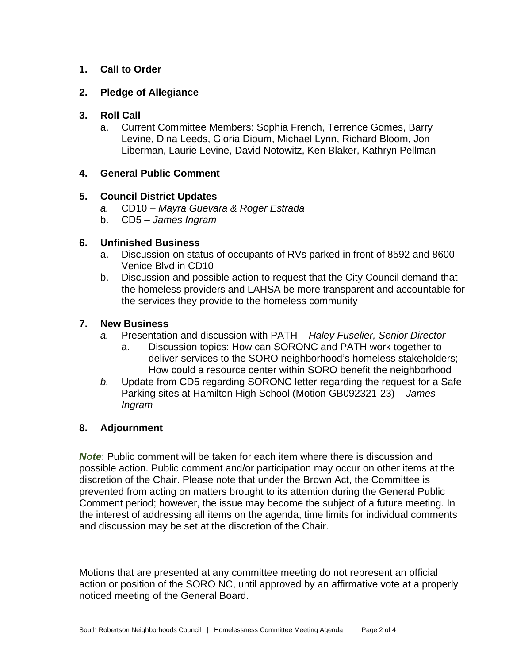## **1. Call to Order**

#### **2. Pledge of Allegiance**

### **3. Roll Call**

a. Current Committee Members: Sophia French, Terrence Gomes, Barry Levine, Dina Leeds, Gloria Dioum, Michael Lynn, Richard Bloom, Jon Liberman, Laurie Levine, David Notowitz, Ken Blaker, Kathryn Pellman

#### **4. General Public Comment**

## **5. Council District Updates**

- *a.* CD10 *Mayra Guevara & Roger Estrada*
- b. CD5 *James Ingram*

## **6. Unfinished Business**

- a. Discussion on status of occupants of RVs parked in front of 8592 and 8600 Venice Blvd in CD10
- b. Discussion and possible action to request that the City Council demand that the homeless providers and LAHSA be more transparent and accountable for the services they provide to the homeless community

## **7. New Business**

- *a.* Presentation and discussion with PATH *Haley Fuselier, Senior Director*
	- a. Discussion topics: How can SORONC and PATH work together to deliver services to the SORO neighborhood's homeless stakeholders; How could a resource center within SORO benefit the neighborhood
- *b.* Update from CD5 regarding SORONC letter regarding the request for a Safe Parking sites at Hamilton High School (Motion GB092321-23) – *James Ingram*

## **8. Adjournment**

*Note*: Public comment will be taken for each item where there is discussion and possible action. Public comment and/or participation may occur on other items at the discretion of the Chair. Please note that under the Brown Act, the Committee is prevented from acting on matters brought to its attention during the General Public Comment period; however, the issue may become the subject of a future meeting. In the interest of addressing all items on the agenda, time limits for individual comments and discussion may be set at the discretion of the Chair.

Motions that are presented at any committee meeting do not represent an official action or position of the SORO NC, until approved by an affirmative vote at a properly noticed meeting of the General Board.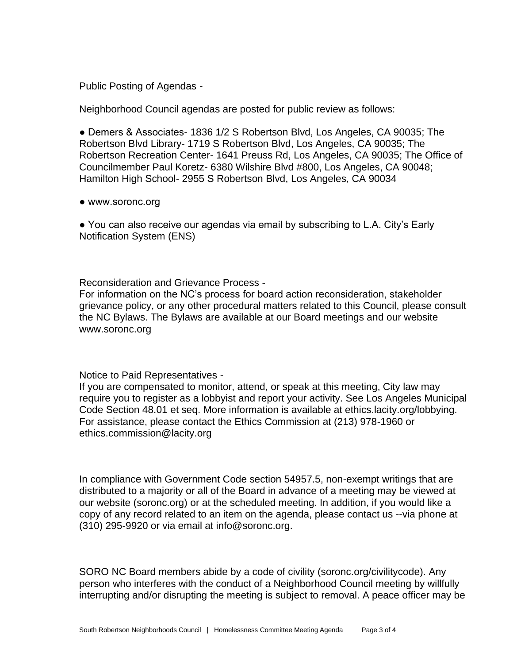Public Posting of Agendas -

Neighborhood Council agendas are posted for public review as follows:

● Demers & Associates- 1836 1/2 S Robertson Blvd, Los Angeles, CA 90035; The Robertson Blvd Library- 1719 S Robertson Blvd, Los Angeles, CA 90035; The Robertson Recreation Center- 1641 Preuss Rd, Los Angeles, CA 90035; The Office of Councilmember Paul Koretz- 6380 Wilshire Blvd #800, Los Angeles, CA 90048; Hamilton High School- 2955 S Robertson Blvd, Los Angeles, CA 90034

● www.soronc.org

● You can also receive our agendas via email by subscribing to L.A. City's Early Notification System (ENS)

Reconsideration and Grievance Process -

For information on the NC's process for board action reconsideration, stakeholder grievance policy, or any other procedural matters related to this Council, please consult the NC Bylaws. The Bylaws are available at our Board meetings and our website www.soronc.org

Notice to Paid Representatives -

If you are compensated to monitor, attend, or speak at this meeting, City law may require you to register as a lobbyist and report your activity. See Los Angeles Municipal Code Section 48.01 et seq. More information is available at ethics.lacity.org/lobbying. For assistance, please contact the Ethics Commission at (213) 978-1960 or ethics.commission@lacity.org

In compliance with Government Code section 54957.5, non-exempt writings that are distributed to a majority or all of the Board in advance of a meeting may be viewed at our website (soronc.org) or at the scheduled meeting. In addition, if you would like a copy of any record related to an item on the agenda, please contact us --via phone at (310) 295-9920 or via email at info@soronc.org.

SORO NC Board members abide by a code of civility (soronc.org/civilitycode). Any person who interferes with the conduct of a Neighborhood Council meeting by willfully interrupting and/or disrupting the meeting is subject to removal. A peace officer may be